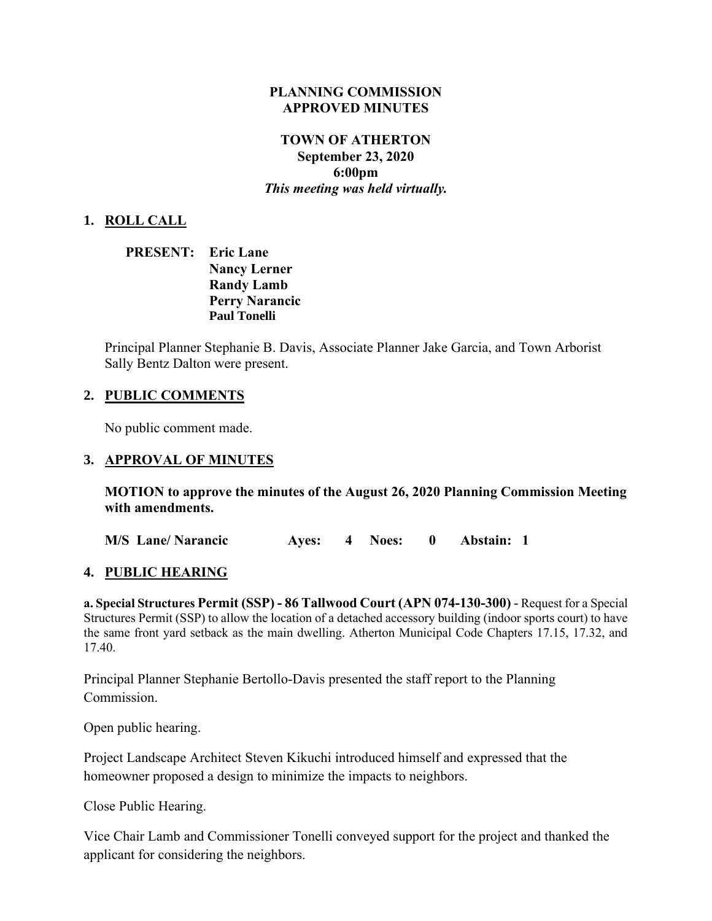#### **PLANNING COMMISSION APPROVED MINUTES**

## **TOWN OF ATHERTON September 23, 2020 6:00pm** *This meeting was held virtually.*

### **1. ROLL CALL**

**PRESENT: Eric Lane Nancy Lerner Randy Lamb Perry Narancic Paul Tonelli**

Principal Planner Stephanie B. Davis, Associate Planner Jake Garcia, and Town Arborist Sally Bentz Dalton were present.

### **2. PUBLIC COMMENTS**

No public comment made.

#### **3. APPROVAL OF MINUTES**

**MOTION to approve the minutes of the August 26, 2020 Planning Commission Meeting with amendments.**

**M/S Lane/ Narancic Ayes: 4 Noes: 0 Abstain: 1**

#### **4. PUBLIC HEARING**

**a. Special Structures Permit (SSP) - 86 Tallwood Court (APN 074-130-300)** - Request for a Special Structures Permit (SSP) to allow the location of a detached accessory building (indoor sports court) to have the same front yard setback as the main dwelling. Atherton Municipal Code Chapters 17.15, 17.32, and 17.40.

Principal Planner Stephanie Bertollo-Davis presented the staff report to the Planning Commission.

Open public hearing.

Project Landscape Architect Steven Kikuchi introduced himself and expressed that the homeowner proposed a design to minimize the impacts to neighbors.

Close Public Hearing.

Vice Chair Lamb and Commissioner Tonelli conveyed support for the project and thanked the applicant for considering the neighbors.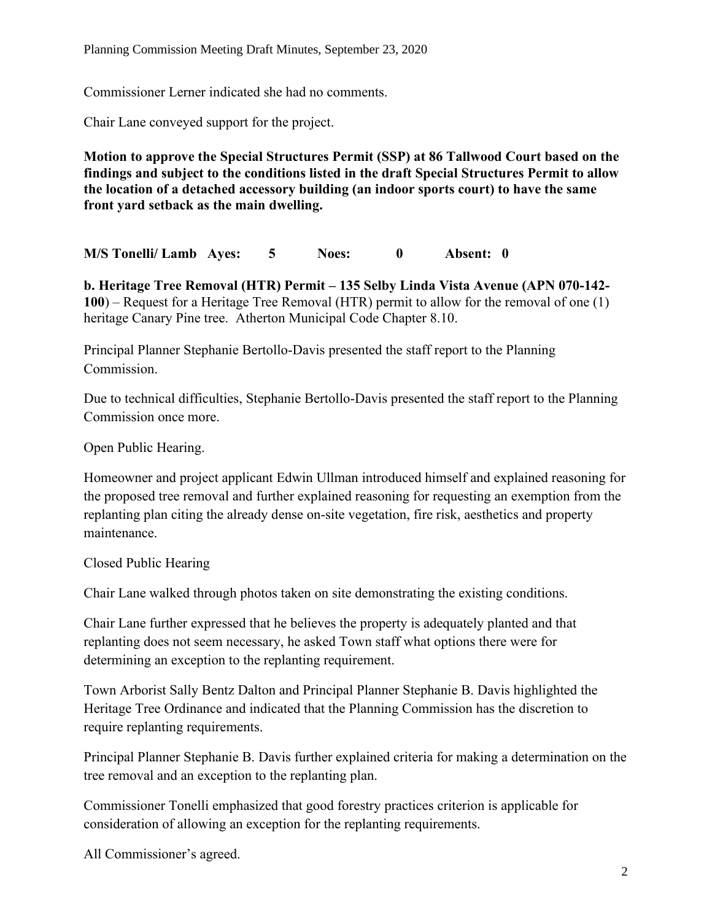Commissioner Lerner indicated she had no comments.

Chair Lane conveyed support for the project.

**Motion to approve the Special Structures Permit (SSP) at 86 Tallwood Court based on the findings and subject to the conditions listed in the draft Special Structures Permit to allow the location of a detached accessory building (an indoor sports court) to have the same front yard setback as the main dwelling.**

**M/S Tonelli/ Lamb Ayes: 5 Noes: 0 Absent: 0**

**b. Heritage Tree Removal (HTR) Permit – 135 Selby Linda Vista Avenue (APN 070-142- 100**) – Request for a Heritage Tree Removal (HTR) permit to allow for the removal of one (1) heritage Canary Pine tree. Atherton Municipal Code Chapter 8.10.

Principal Planner Stephanie Bertollo-Davis presented the staff report to the Planning **Commission** 

Due to technical difficulties, Stephanie Bertollo-Davis presented the staff report to the Planning Commission once more.

Open Public Hearing.

Homeowner and project applicant Edwin Ullman introduced himself and explained reasoning for the proposed tree removal and further explained reasoning for requesting an exemption from the replanting plan citing the already dense on-site vegetation, fire risk, aesthetics and property maintenance.

Closed Public Hearing

Chair Lane walked through photos taken on site demonstrating the existing conditions.

Chair Lane further expressed that he believes the property is adequately planted and that replanting does not seem necessary, he asked Town staff what options there were for determining an exception to the replanting requirement.

Town Arborist Sally Bentz Dalton and Principal Planner Stephanie B. Davis highlighted the Heritage Tree Ordinance and indicated that the Planning Commission has the discretion to require replanting requirements.

Principal Planner Stephanie B. Davis further explained criteria for making a determination on the tree removal and an exception to the replanting plan.

Commissioner Tonelli emphasized that good forestry practices criterion is applicable for consideration of allowing an exception for the replanting requirements.

All Commissioner's agreed.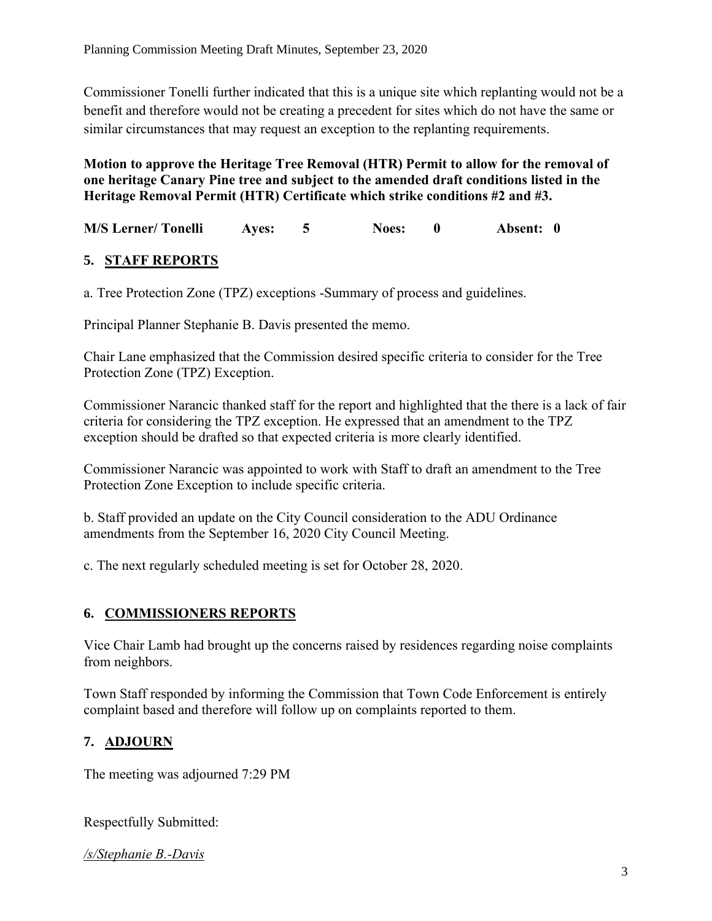Commissioner Tonelli further indicated that this is a unique site which replanting would not be a benefit and therefore would not be creating a precedent for sites which do not have the same or similar circumstances that may request an exception to the replanting requirements.

**Motion to approve the Heritage Tree Removal (HTR) Permit to allow for the removal of one heritage Canary Pine tree and subject to the amended draft conditions listed in the Heritage Removal Permit (HTR) Certificate which strike conditions #2 and #3.**

**M/S Lerner/ Tonelli Ayes: 5 Noes: 0 Absent: 0**

# **5. STAFF REPORTS**

a. Tree Protection Zone (TPZ) exceptions -Summary of process and guidelines.

Principal Planner Stephanie B. Davis presented the memo.

Chair Lane emphasized that the Commission desired specific criteria to consider for the Tree Protection Zone (TPZ) Exception.

Commissioner Narancic thanked staff for the report and highlighted that the there is a lack of fair criteria for considering the TPZ exception. He expressed that an amendment to the TPZ exception should be drafted so that expected criteria is more clearly identified.

Commissioner Narancic was appointed to work with Staff to draft an amendment to the Tree Protection Zone Exception to include specific criteria.

b. Staff provided an update on the City Council consideration to the ADU Ordinance amendments from the September 16, 2020 City Council Meeting.

c. The next regularly scheduled meeting is set for October 28, 2020.

## **6. COMMISSIONERS REPORTS**

Vice Chair Lamb had brought up the concerns raised by residences regarding noise complaints from neighbors.

Town Staff responded by informing the Commission that Town Code Enforcement is entirely complaint based and therefore will follow up on complaints reported to them.

# **7. ADJOURN**

The meeting was adjourned 7:29 PM

Respectfully Submitted:

*/s/Stephanie B.-Davis*